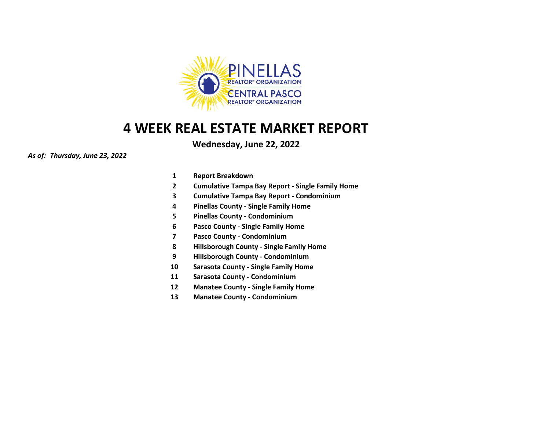

### **Wednesday, June 22, 2022**

#### *As of: Thursday, June 23, 2022*

- **1 Report Breakdown**
- **2 Cumulative Tampa Bay Report - Single Family Home**
- **3 Cumulative Tampa Bay Report - Condominium**
- **4 Pinellas County - Single Family Home**
- **5 Pinellas County - Condominium**
- **6 Pasco County - Single Family Home**
- **7 Pasco County - Condominium**
- **8 Hillsborough County - Single Family Home**
- **9 Hillsborough County - Condominium**
- **10 Sarasota County - Single Family Home**
- **11 Sarasota County - Condominium**
- **12 Manatee County - Single Family Home**
- **13 Manatee County - Condominium**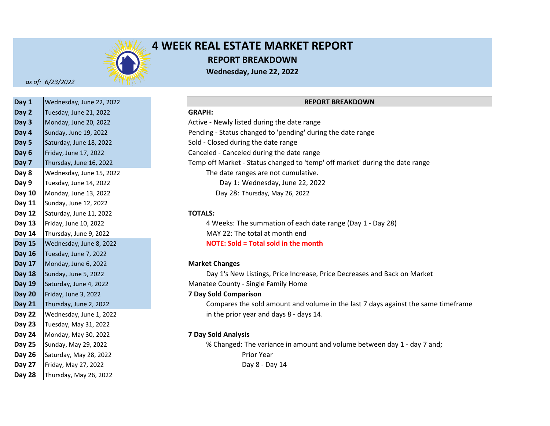

## **4 WEEK REAL ESTATE MARKET REPORT REPORT BREAKDOWN Wednesday, June 22, 2022**

*as of: 6/23/2022*

| Day 1         | Wednesday, June 22, 2022 |                              |
|---------------|--------------------------|------------------------------|
| Day 2         | Tuesday, June 21, 2022   | <b>GRAPH:</b>                |
| Day 3         | Monday, June 20, 2022    | Active - Newly listed during |
| Day 4         | Sunday, June 19, 2022    | Pending - Status changed to  |
| Day 5         | Saturday, June 18, 2022  | Sold - Closed during the dat |
| Day 6         | Friday, June 17, 2022    | Canceled - Canceled during   |
| Day 7         | Thursday, June 16, 2022  | Temp off Market - Status cl  |
| Day 8         | Wednesday, June 15, 2022 | The date ranges are n        |
| Day 9         | Tuesday, June 14, 2022   | Day 1: Wednesda              |
| <b>Day 10</b> | Monday, June 13, 2022    | Day 28: Thursday, I          |
| Day 11        | Sunday, June 12, 2022    |                              |
| <b>Day 12</b> | Saturday, June 11, 2022  | <b>TOTALS:</b>               |
| Day 13        | Friday, June 10, 2022    | 4 Weeks: The summa           |
| Day 14        | Thursday, June 9, 2022   | MAY 22: The total at         |
| <b>Day 15</b> | Wednesday, June 8, 2022  | <b>NOTE: Sold = Total so</b> |
| <b>Day 16</b> | Tuesday, June 7, 2022    |                              |
| <b>Day 17</b> | Monday, June 6, 2022     | <b>Market Changes</b>        |
| <b>Day 18</b> | Sunday, June 5, 2022     | Day 1's New Listings,        |
| <b>Day 19</b> | Saturday, June 4, 2022   | Manatee County - Single Fa   |
| <b>Day 20</b> | Friday, June 3, 2022     | <b>7 Day Sold Comparison</b> |
| <b>Day 21</b> | Thursday, June 2, 2022   | Compares the sold an         |
| <b>Day 22</b> | Wednesday, June 1, 2022  | in the prior year and        |
| <b>Day 23</b> | Tuesday, May 31, 2022    |                              |
| Day 24        | Monday, May 30, 2022     | <b>7 Day Sold Analysis</b>   |
| Day 25        | Sunday, May 29, 2022     | % Changed: The varia         |
| <b>Day 26</b> | Saturday, May 28, 2022   | Prior Year                   |
| Day 27        | Friday, May 27, 2022     | Day 8 - Da                   |
| Day 28        | Thursday, May 26, 2022   |                              |

#### **REPORT BREAKDOWN**

#### **Day 2 GRAPH:**

**Day 3** Active - Newly listed during the date range **Day 4** Pending - Status changed to 'pending' during the date range Sold - Closed during the date range Canceled - Canceled during the date range **Day 7** Temp off Market - Status changed to 'temp' off market' during the date range The date ranges are not cumulative. Day 1: Wednesday, June 22, 2022 Day 28: Thursday, May 26, 2022

#### **Day 12 TOTALS:**

**Day 13** 4 Weeks: The summation of each date range (Day 1 - Day 28) **Day 14** MAY 22: The total at month end **Day 15 NOTE: Sold = Total sold in the month**

#### **Day 17 Market Changes**

Day 1's New Listings, Price Increase, Price Decreases and Back on Market **Day 19** Manatee County - Single Family Home

#### **Day 20 7 Day Sold Comparison**

**Day 21** Compares the sold amount and volume in the last 7 days against the same timeframe **Day 22** in the prior year and days 8 - days 14.

#### **Day 24 7 Day Sold Analysis**

**Day 25** % Changed: The variance in amount and volume between day 1 - day 7 and; Day 8 - Day 14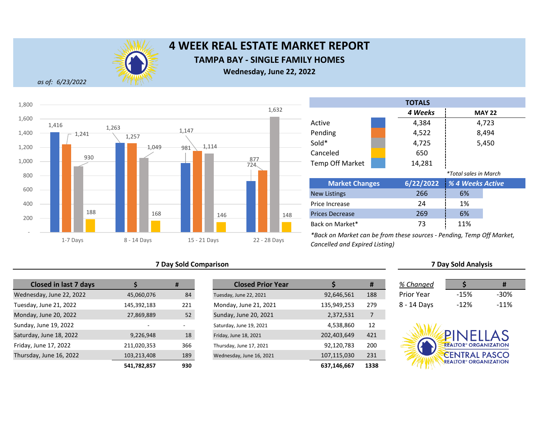

# **4 WEEK REAL ESTATE MARKET REPORT TAMPA BAY - SINGLE FAMILY HOMES**

**Wednesday, June 22, 2022**

*as of: 6/23/2022*



|  |  |  |  | <b>7 Day Sold Comparison</b> |
|--|--|--|--|------------------------------|
|--|--|--|--|------------------------------|

| <b>Closed in last 7 days</b> |             | #   |
|------------------------------|-------------|-----|
| Wednesday, June 22, 2022     | 45,060,076  | 84  |
| Tuesday, June 21, 2022       | 145,392,183 | 221 |
| Monday, June 20, 2022        | 27,869,889  | 52  |
| Sunday, June 19, 2022        |             |     |
| Saturday, June 18, 2022      | 9,226,948   | 18  |
| Friday, June 17, 2022        | 211,020,353 | 366 |
| Thursday, June 16, 2022      | 103,213,408 | 189 |
|                              | 541,782,857 | 930 |

| <b>Closed in last 7 days</b> |             | #   | <b>Closed Prior Year</b> |             | #    | % Changed         |                                         |        |
|------------------------------|-------------|-----|--------------------------|-------------|------|-------------------|-----------------------------------------|--------|
| esday, June 22, 2022         | 45,060,076  | 84  | Tuesday, June 22, 2021   | 92,646,561  | 188  | <b>Prior Year</b> | $-15%$                                  | $-30%$ |
| ay, June 21, 2022            | 145,392,183 | 221 | Monday, June 21, 2021    | 135,949,253 | 279  | 8 - 14 Days       | $-12%$                                  | $-11%$ |
| ay, June 20, 2022            | 27,869,889  | 52  | Sunday, June 20, 2021    | 2,372,531   |      |                   |                                         |        |
| y, June 19, 2022             |             |     | Saturday, June 19, 2021  | 4,538,860   | 12   |                   |                                         |        |
| lay, June 18, 2022           | 9,226,948   | 18  | Friday, June 18, 2021    | 202,403,649 | 421  |                   | PINELLAS                                |        |
| , June 17, 2022              | 211,020,353 | 366 | Thursday, June 17, 2021  | 92,120,783  | 200  |                   | <b>REALTOR® ORGANIZATION</b>            |        |
| day, June 16, 2022           | 103,213,408 | 189 | Wednesday, June 16, 2021 | 107,115,030 | 231  |                   | <b>CENTRAL PASCO</b>                    |        |
|                              | 541.782.857 | 930 |                          | 637.146.667 | 1338 |                   | <b>REALTOR<sup>®</sup> ORGANIZATION</b> |        |



*\*Back on Market can be from these sources - Pending, Temp Off Market,* 

*Cancelled and Expired Listing)*

Prices Decrease Back on Market\*

Price Increase

| % Changed         |         |        |
|-------------------|---------|--------|
| <b>Prior Year</b> | $-1.5%$ | -30%   |
| 8 - 14 Days       | $-12%$  | $-11%$ |

**7 Day Sold Analysis**

24 1% 269 6% 73 11%

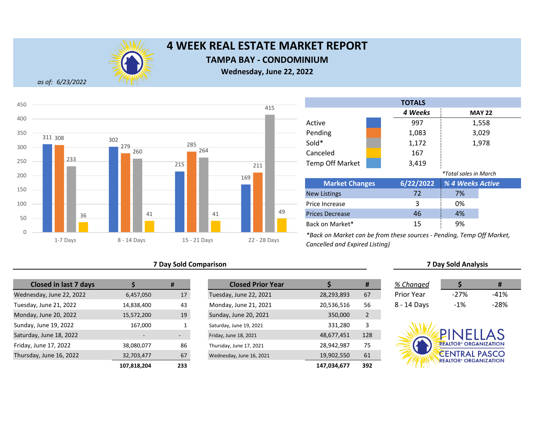

### **TAMPA BAY - CONDOMINIUM**

**Wednesday, June 22, 2022**

*as of: 6/23/2022*



|                        |                       | <b>TOTALS</b> |                              |               |
|------------------------|-----------------------|---------------|------------------------------|---------------|
|                        |                       | 4 Weeks       |                              | <b>MAY 22</b> |
| Active                 |                       | 997           |                              | 1,558         |
| Pending                |                       | 1,083         |                              | 3,029         |
| Sold*                  |                       | 1,172         |                              | 1,978         |
| Canceled               |                       | 167           |                              |               |
| <b>Temp Off Market</b> |                       | 3,419         |                              |               |
|                        |                       |               | <i>*Total sales in March</i> |               |
|                        | <b>Market Changes</b> |               | % 4 Weeks Active             |               |
| <b>New Listings</b>    |                       |               | 7%                           |               |
| Price Increase         |                       |               | 0%                           |               |
| <b>Prices Decrease</b> |                       |               | 4%                           |               |

*\*Back on Market can be from these sources - Pending, Temp Off Market, Cancelled and Expired Listing)*

#### **7 Day Sold Comparison 7 Day Sold Analysis**

| <b>Closed in last 7 days</b> |             | #   | <b>Closed Prior Year</b> |             |
|------------------------------|-------------|-----|--------------------------|-------------|
| Wednesday, June 22, 2022     | 6,457,050   | 17  | Tuesday, June 22, 2021   | 28,293,893  |
| Tuesday, June 21, 2022       | 14,838,400  | 43  | Monday, June 21, 2021    | 20,536,516  |
| Monday, June 20, 2022        | 15,572,200  | 19  | Sunday, June 20, 2021    | 350,000     |
| Sunday, June 19, 2022        | 167,000     |     | Saturday, June 19, 2021  | 331,280     |
| Saturday, June 18, 2022      |             |     | Friday, June 18, 2021    | 48,677,451  |
| Friday, June 17, 2022        | 38,080,077  | 86  | Thursday, June 17, 2021  | 28,942,987  |
| Thursday, June 16, 2022      | 32,703,477  | 67  | Wednesday, June 16, 2021 | 19,902,550  |
|                              | 107.818.204 | 233 |                          | 147.034.677 |

|             | #   | <b>Closed Prior Year</b> |             | #              | % Changed         |                                         | #      |
|-------------|-----|--------------------------|-------------|----------------|-------------------|-----------------------------------------|--------|
| 6,457,050   | 17  | Tuesday, June 22, 2021   | 28,293,893  | 67             | <b>Prior Year</b> | $-27%$                                  | $-41%$ |
| 14,838,400  | 43  | Monday, June 21, 2021    | 20,536,516  | 56             | 8 - 14 Days       | $-1%$                                   | $-28%$ |
| 15,572,200  | 19  | Sunday, June 20, 2021    | 350,000     | $\overline{2}$ |                   |                                         |        |
| 167,000     |     | Saturday, June 19, 2021  | 331,280     | 3              |                   |                                         |        |
|             |     | Friday, June 18, 2021    | 48,677,451  | 128            |                   | PINELLAS                                |        |
| 38,080,077  | 86  | Thursday, June 17, 2021  | 28,942,987  | 75             |                   | <b>REALTOR® ORGANIZATION</b>            |        |
| 32,703,477  | 67  | Wednesday, June 16, 2021 | 19,902,550  | 61             |                   | <b>CENTRAL PASCO</b>                    |        |
| 107,818,204 | 233 |                          | 147,034,677 | 392            |                   | <b>REALTOR<sup>®</sup> ORGANIZATION</b> |        |

Back on Market\*

| % Changed   | S      | Ħ      |
|-------------|--------|--------|
| Prior Year  | $-27%$ | $-41%$ |
| 8 - 14 Days | $-1\%$ | -28%   |



15 9%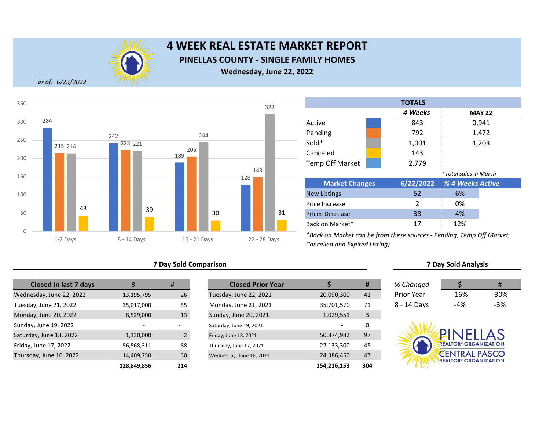

## **4 WEEK REAL ESTATE MARKET REPORT PINELLAS COUNTY - SINGLE FAMILY HOMES Wednesday, June 22, 2022**

*as of: 6/23/2022*



#### **7 Day Sold Comparison**

| <b>Closed in last 7 days</b> |             | #             |
|------------------------------|-------------|---------------|
| Wednesday, June 22, 2022     | 13,195,795  | 26            |
| Tuesday, June 21, 2022       | 35,017,000  | 55            |
| Monday, June 20, 2022        | 8,529,000   | 13            |
| Sunday, June 19, 2022        |             |               |
| Saturday, June 18, 2022      | 1,130,000   | $\mathcal{P}$ |
| Friday, June 17, 2022        | 56,568,311  | 88            |
| Thursday, June 16, 2022      | 14,409,750  | 30            |
|                              | 128.849.856 | 214           |

|             | #              | <b>Closed Prior Year</b> |             | #   | % Changed         |                                         | Ħ      |
|-------------|----------------|--------------------------|-------------|-----|-------------------|-----------------------------------------|--------|
| 13,195,795  | 26             | Tuesday, June 22, 2021   | 20,090,300  | 41  | <b>Prior Year</b> | $-16%$                                  | $-30%$ |
| 35,017,000  | 55             | Monday, June 21, 2021    | 35,701,570  | 71  | 8 - 14 Days       | $-4%$                                   | $-3%$  |
| 8,529,000   | 13             | Sunday, June 20, 2021    | 1,029,551   | 3   |                   |                                         |        |
|             |                | Saturday, June 19, 2021  |             |     |                   |                                         |        |
| 1,130,000   | $\overline{2}$ | Friday, June 18, 2021    | 50,874,982  | 97  |                   | PINFILAS                                |        |
| 56,568,311  | 88             | Thursday, June 17, 2021  | 22,133,300  | 45  |                   | <b>REALTOR® ORGANIZATION</b>            |        |
| 14,409,750  | 30             | Wednesday, June 16, 2021 | 24,386,450  | 47  |                   | <b>CENTRAL PASCO</b>                    |        |
| 128,849,856 | 214            |                          | 154,216,153 | 304 |                   | <b>REALTOR<sup>®</sup> ORGANIZATION</b> |        |

| <b>TOTALS</b>          |  |               |                              |               |  |  |  |  |
|------------------------|--|---------------|------------------------------|---------------|--|--|--|--|
|                        |  | 4 Weeks       |                              | <b>MAY 22</b> |  |  |  |  |
| Active                 |  | 843           |                              | 0,941         |  |  |  |  |
| Pending                |  | 792           |                              | 1,472         |  |  |  |  |
| Sold*                  |  | 1,001         |                              | 1,203         |  |  |  |  |
| Canceled               |  | 143           |                              |               |  |  |  |  |
| <b>Temp Off Market</b> |  | 2,779         |                              |               |  |  |  |  |
|                        |  |               | <i>*Total sales in March</i> |               |  |  |  |  |
| <b>Market Changes</b>  |  | 6/22/2022     | % 4 Weeks Active             |               |  |  |  |  |
| <b>New Listings</b>    |  | 52            | 6%                           |               |  |  |  |  |
| Price Increase         |  | $\mathcal{P}$ | 0%                           |               |  |  |  |  |
| <b>Prices Decrease</b> |  | 38            | 4%                           |               |  |  |  |  |
| Back on Market*        |  | 17            | 12%                          |               |  |  |  |  |

*\*Back on Market can be from these sources - Pending, Temp Off Market, Cancelled and Expired Listing)*

|             |       | Ħ     |
|-------------|-------|-------|
| % Changed   |       |       |
| Prior Year  | -16%  | -30%  |
| 8 - 14 Days | $-4%$ | $-3%$ |

**7 Day Sold Analysis**

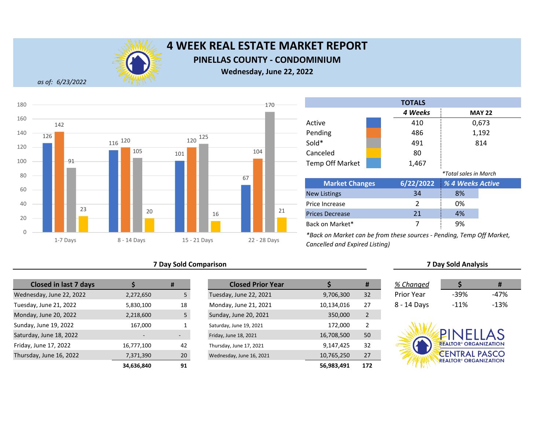

## **4 WEEK REAL ESTATE MARKET REPORT PINELLAS COUNTY - CONDOMINIUM**

**Wednesday, June 22, 2022**

*as of: 6/23/2022*



### **7 Day Sold Comparison 7 Day Sold Analysis**

| <b>Closed in last 7 days</b> |            | #  | <b>Closed Prior Year</b> |            |
|------------------------------|------------|----|--------------------------|------------|
| Wednesday, June 22, 2022     | 2,272,650  | 5  | Tuesday, June 22, 2021   | 9,706,300  |
| Tuesday, June 21, 2022       | 5,830,100  | 18 | Monday, June 21, 2021    | 10,134,016 |
| Monday, June 20, 2022        | 2,218,600  | 5  | Sunday, June 20, 2021    | 350,000    |
| Sunday, June 19, 2022        | 167,000    | 1  | Saturday, June 19, 2021  | 172,000    |
| Saturday, June 18, 2022      |            |    | Friday, June 18, 2021    | 16,708,500 |
| Friday, June 17, 2022        | 16,777,100 | 42 | Thursday, June 17, 2021  | 9,147,425  |
| Thursday, June 16, 2022      | 7,371,390  | 20 | Wednesday, June 16, 2021 | 10,765,250 |
|                              | 34.636.840 | 91 |                          | 56.983.491 |

|            | #  | <b>Closed Prior Year</b> |            | #              | % Changed         |                                         | Ħ      |
|------------|----|--------------------------|------------|----------------|-------------------|-----------------------------------------|--------|
| 2,272,650  | כ  | Tuesday, June 22, 2021   | 9,706,300  | 32             | <b>Prior Year</b> | $-39%$                                  | $-47%$ |
| 5,830,100  | 18 | Monday, June 21, 2021    | 10,134,016 | 27             | 8 - 14 Days       | $-11%$                                  | $-13%$ |
| 2,218,600  | 5  | Sunday, June 20, 2021    | 350,000    | $\overline{2}$ |                   |                                         |        |
| 167,000    |    | Saturday, June 19, 2021  | 172,000    | 2              |                   |                                         |        |
|            |    | Friday, June 18, 2021    | 16,708,500 | 50             |                   | <b>PINFILAS</b>                         |        |
| 16,777,100 | 42 | Thursday, June 17, 2021  | 9,147,425  | 32             |                   | <b>REALTOR® ORGANIZATION</b>            |        |
| 7,371,390  | 20 | Wednesday, June 16, 2021 | 10,765,250 | 27             |                   | <b>CENTRAL PASCO</b>                    |        |
| 34,636,840 | 91 |                          | 56,983,491 | 172            |                   | <b>REALTOR<sup>®</sup> ORGANIZATION</b> |        |

|                        |  | <b>TOTALS</b>  |                              |               |  |
|------------------------|--|----------------|------------------------------|---------------|--|
|                        |  | 4 Weeks        |                              | <b>MAY 22</b> |  |
| Active                 |  | 410            |                              | 0,673         |  |
| Pending                |  | 486            |                              | 1,192         |  |
| Sold*                  |  | 491            |                              | 814           |  |
| Canceled               |  | 80             |                              |               |  |
| <b>Temp Off Market</b> |  | 1,467          |                              |               |  |
|                        |  |                | <i>*Total sales in March</i> |               |  |
| <b>Market Changes</b>  |  | 6/22/2022      | % 4 Weeks Active             |               |  |
| <b>New Listings</b>    |  | 34             | 8%                           |               |  |
| Price Increase         |  | $\mathfrak{p}$ | 0%                           |               |  |
| <b>Prices Decrease</b> |  | 21             | 4%                           |               |  |
| Back on Market*        |  | 7              | 9%                           |               |  |

*\*Back on Market can be from these sources - Pending, Temp Off Market, Cancelled and Expired Listing)*

| % Changed   |        | #      |
|-------------|--------|--------|
| Prior Year  | $-39%$ | -47%   |
| 8 - 14 Days | $-11%$ | $-13%$ |

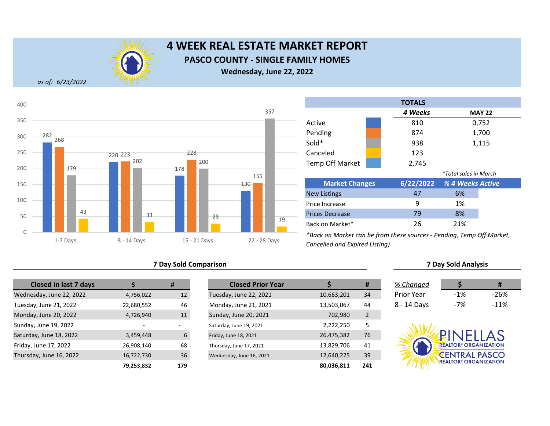

## **4 WEEK REAL ESTATE MARKET REPORT PASCO COUNTY - SINGLE FAMILY HOMES Wednesday, June 22, 2022**

*as of: 6/23/2022*



|                        | <b>TOTALS</b> |                              |               |
|------------------------|---------------|------------------------------|---------------|
|                        | 4 Weeks       |                              | <b>MAY 22</b> |
| Active                 | 810           |                              | 0,752         |
| Pending                | 874           |                              | 1,700         |
| Sold*                  | 938           |                              | 1,115         |
| Canceled               | 123           |                              |               |
| <b>Temp Off Market</b> | 2,745         |                              |               |
|                        |               | <i>*Total sales in March</i> |               |
| <b>Market Changes</b>  | 6/22/2022     | % 4 Weeks Active             |               |
| <b>New Listings</b>    | 47            | 6%                           |               |
| Price Increase         | 9             | 1%                           |               |
| <b>Prices Decrease</b> | 79            | 8%                           |               |
| Back on Market*        | 26            | 21%                          |               |

*\*Back on Market can be from these sources - Pending, Temp Off Market, Cancelled and Expired Listing)*

#### **7 Day Sold Comparison 7 Day Sold Analysis**

| <b>Closed in last 7 days</b> |                          | #                        | <b>Closed Prior Year</b> |            |
|------------------------------|--------------------------|--------------------------|--------------------------|------------|
| Wednesday, June 22, 2022     | 4,756,022                | 12                       | Tuesday, June 22, 2021   | 10,663,201 |
| Tuesday, June 21, 2022       | 22,680,552               | 46                       | Monday, June 21, 2021    | 13,503,067 |
| Monday, June 20, 2022        | 4,726,940                | 11                       | Sunday, June 20, 2021    | 702,980    |
| Sunday, June 19, 2022        | $\overline{\phantom{0}}$ | $\overline{\phantom{a}}$ | Saturday, June 19, 2021  | 2,222,250  |
| Saturday, June 18, 2022      | 3,459,448                | 6                        | Friday, June 18, 2021    | 26,475,382 |
| Friday, June 17, 2022        | 26,908,140               | 68                       | Thursday, June 17, 2021  | 13,829,706 |
| Thursday, June 16, 2022      | 16,722,730               | 36                       | Wednesday, June 16, 2021 | 12,640,225 |
|                              | 79.253.832               | 179                      |                          | 80.036.811 |

|            | #   | <b>Closed Prior Year</b> |            | #              | % Changed         |                                         | #      |
|------------|-----|--------------------------|------------|----------------|-------------------|-----------------------------------------|--------|
| 4,756,022  | 12  | Tuesday, June 22, 2021   | 10,663,201 | 34             | <b>Prior Year</b> | $-1%$                                   | $-26%$ |
| 22,680,552 | 46  | Monday, June 21, 2021    | 13,503,067 | 44             | 8 - 14 Days       | $-7%$                                   | $-11%$ |
| 4,726,940  | 11  | Sunday, June 20, 2021    | 702,980    | $\overline{2}$ |                   |                                         |        |
|            | -   | Saturday, June 19, 2021  | 2,222,250  | 5              |                   |                                         |        |
| 3,459,448  | 6   | Friday, June 18, 2021    | 26,475,382 | 76             |                   | PINELLAS                                |        |
| 26,908,140 | 68  | Thursday, June 17, 2021  | 13,829,706 | 41             |                   | <b>REALTOR® ORGANIZATION</b>            |        |
| 16,722,730 | 36  | Wednesday, June 16, 2021 | 12,640,225 | 39             |                   | <b>CENTRAL PASCO</b>                    |        |
| 79,253,832 | 179 |                          | 80,036,811 | 241            |                   | <b>REALTOR<sup>®</sup> ORGANIZATION</b> |        |

| % Changed   |        | Ħ      |  |
|-------------|--------|--------|--|
| Prior Year  | $-1\%$ | -26%   |  |
| 8 - 14 Days | $-7%$  | $-11%$ |  |

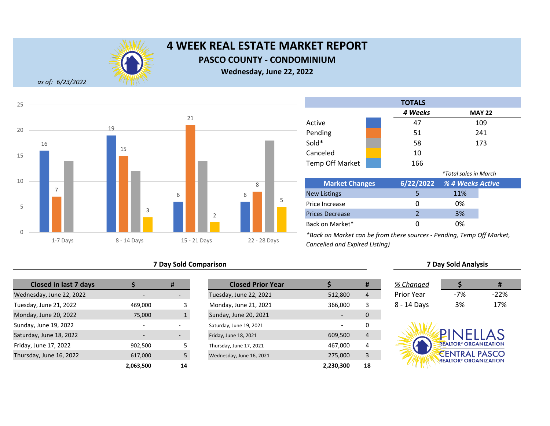

**PASCO COUNTY - CONDOMINIUM**

**Wednesday, June 22, 2022**

*as of: 6/23/2022*



### **7 Day Sold Comparison 7 Day Sold Analysis**

| <b>Closed in last 7 days</b> |           | #                        | <b>Closed Prior Year</b> |  |
|------------------------------|-----------|--------------------------|--------------------------|--|
| Wednesday, June 22, 2022     |           |                          | Tuesday, June 22, 2021   |  |
| Tuesday, June 21, 2022       | 469,000   | 3                        | Monday, June 21, 2021    |  |
| Monday, June 20, 2022        | 75,000    | $\mathbf{1}$             | Sunday, June 20, 2021    |  |
| Sunday, June 19, 2022        | -         | $\overline{\phantom{a}}$ | Saturday, June 19, 2021  |  |
| Saturday, June 18, 2022      |           | -                        | Friday, June 18, 2021    |  |
| Friday, June 17, 2022        | 902,500   | 5                        | Thursday, June 17, 2021  |  |
| Thursday, June 16, 2022      | 617,000   | 5                        | Wednesday, June 16, 2021 |  |
|                              | 2.063.500 | 14                       |                          |  |

|           | #                        | <b>Closed Prior Year</b> |           | #  | % Changed         |                                         | #      |
|-----------|--------------------------|--------------------------|-----------|----|-------------------|-----------------------------------------|--------|
|           |                          | Tuesday, June 22, 2021   | 512,800   | 4  | <b>Prior Year</b> | $-7%$                                   | $-22%$ |
| 469,000   |                          | Monday, June 21, 2021    | 366,000   | 3  | 8 - 14 Days       | 3%                                      | 17%    |
| 75,000    |                          | Sunday, June 20, 2021    |           | 0  |                   |                                         |        |
|           |                          | Saturday, June 19, 2021  |           | 0  |                   |                                         |        |
|           | $\overline{\phantom{a}}$ | Friday, June 18, 2021    | 609,500   | 4  |                   | <b>PINFILAS</b>                         |        |
| 902,500   |                          | Thursday, June 17, 2021  | 467,000   | 4  |                   | <b>REALTOR® ORGANIZATION</b>            |        |
| 617,000   |                          | Wednesday, June 16, 2021 | 275,000   | 3  |                   | <b>CENTRAL PASCO</b>                    |        |
| 2,063,500 | 14                       |                          | 2,230,300 | 18 |                   | <b>REALTOR<sup>®</sup> ORGANIZATION</b> |        |

Back on Market\*

|                        |  | <b>TOTALS</b>            |                              |               |
|------------------------|--|--------------------------|------------------------------|---------------|
|                        |  | 4 Weeks                  |                              | <b>MAY 22</b> |
| Active                 |  | 47                       |                              | 109           |
| Pending                |  | 51                       |                              | 241           |
| Sold*                  |  | 58                       |                              | 173           |
| Canceled               |  | 10                       |                              |               |
| <b>Temp Off Market</b> |  | 166                      |                              |               |
|                        |  |                          | <i>*Total sales in March</i> |               |
| <b>Market Changes</b>  |  | 6/22/2022                | % 4 Weeks Active             |               |
| <b>New Listings</b>    |  | 5                        | 11%                          |               |
| Price Increase         |  | Ω                        | 0%                           |               |
| <b>Prices Decrease</b> |  | $\overline{\mathcal{L}}$ | 3%                           |               |

*\*Back on Market can be from these sources - Pending, Temp Off Market, Cancelled and Expired Listing)*

| hanged |  |
|--------|--|

0 0%

| .          |     |        |
|------------|-----|--------|
| 'rior Year | -7% | $-22%$ |
| - 14 Days  | 3%  | 17%    |

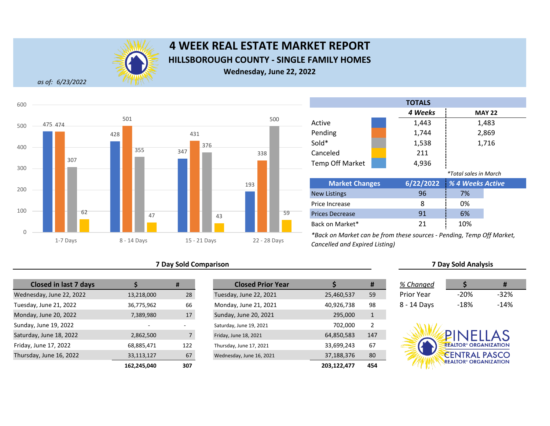

## **4 WEEK REAL ESTATE MARKET REPORT HILLSBOROUGH COUNTY - SINGLE FAMILY HOMES Wednesday, June 22, 2022**

*as of: 6/23/2022*



#### **7 Day Sold Comparison 7 Day Sold Analysis**

| <b>Closed in last 7 days</b> |             | #                        | <b>Closed Prior Year</b> |             |
|------------------------------|-------------|--------------------------|--------------------------|-------------|
| Wednesday, June 22, 2022     | 13,218,000  | 28                       | Tuesday, June 22, 2021   | 25,460,537  |
| Tuesday, June 21, 2022       | 36,775,962  | 66                       | Monday, June 21, 2021    | 40,926,738  |
| Monday, June 20, 2022        | 7,389,980   | 17                       | Sunday, June 20, 2021    | 295,000     |
| Sunday, June 19, 2022        |             | $\overline{\phantom{a}}$ | Saturday, June 19, 2021  | 702,000     |
| Saturday, June 18, 2022      | 2,862,500   | 7                        | Friday, June 18, 2021    | 64,850,583  |
| Friday, June 17, 2022        | 68,885,471  | 122                      | Thursday, June 17, 2021  | 33,699,243  |
| Thursday, June 16, 2022      | 33,113,127  | 67                       | Wednesday, June 16, 2021 | 37,188,376  |
|                              | 162.245.040 | 307                      |                          | 203.122.477 |

|             | #              | <b>Closed Prior Year</b> |             | #            | % Changed   |                                         | #      |
|-------------|----------------|--------------------------|-------------|--------------|-------------|-----------------------------------------|--------|
| 13,218,000  | 28             | Tuesday, June 22, 2021   | 25,460,537  | 59           | Prior Year  | $-20%$                                  | $-32%$ |
| 36,775,962  | 66             | Monday, June 21, 2021    | 40,926,738  | 98           | 8 - 14 Days | $-18%$                                  | $-14%$ |
| 7,389,980   | 17             | Sunday, June 20, 2021    | 295,000     | $\mathbf{1}$ |             |                                         |        |
|             |                | Saturday, June 19, 2021  | 702.000     | 2            |             |                                         |        |
| 2,862,500   | $\overline{7}$ | Friday, June 18, 2021    | 64,850,583  | 147          |             | PINELLAS                                |        |
| 68,885,471  | 122            | Thursday, June 17, 2021  | 33,699,243  | 67           |             | <b>REALTOR® ORGANIZATION</b>            |        |
| 33,113,127  | 67             | Wednesday, June 16, 2021 | 37,188,376  | 80           |             | <b>CENTRAL PASCO</b>                    |        |
| 162,245,040 | 307            |                          | 203,122,477 | 454          |             | <b>REALTOR<sup>®</sup> ORGANIZATION</b> |        |



|    |     | 6/22/2022 % 4 Weeks Active |
|----|-----|----------------------------|
| 96 | 7%  |                            |
|    | 0%  |                            |
| 91 | 6%  |                            |
| 21 | 10% |                            |
|    |     |                            |

*\*Back on Market can be from these sources - Pending, Temp Off Market, Cancelled and Expired Listing)*

| % Changed         |        | Ħ      |
|-------------------|--------|--------|
| <b>Prior Year</b> | $-20%$ | $-32%$ |
| 8 - 14 Days       | $-18%$ | $-14%$ |

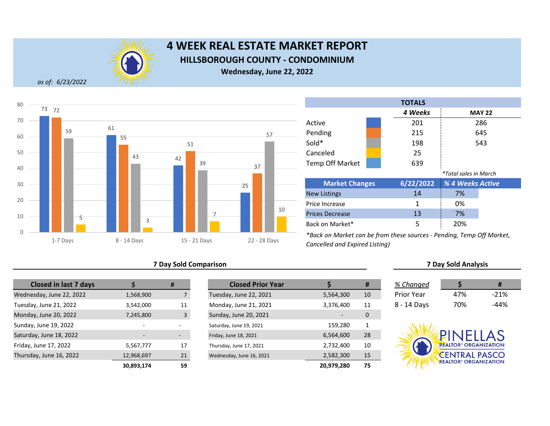

## **4 WEEK REAL ESTATE MARKET REPORT HILLSBOROUGH COUNTY - CONDOMINIUM**

**Wednesday, June 22, 2022**

*as of: 6/23/2022*



| 7 Day Sold Comparison | <b>7 Day Sold Analysis</b> |
|-----------------------|----------------------------|
|                       |                            |

| <b>Closed in last 7 days</b> |            | #  | <b>Closed Prior Year</b> |  |
|------------------------------|------------|----|--------------------------|--|
| Wednesday, June 22, 2022     | 1,568,900  |    | Tuesday, June 22, 2021   |  |
| Tuesday, June 21, 2022       | 3,542,000  | 11 | Monday, June 21, 2021    |  |
| Monday, June 20, 2022        | 7,245,800  | 3  | Sunday, June 20, 2021    |  |
| Sunday, June 19, 2022        | ٠          |    | Saturday, June 19, 2021  |  |
| Saturday, June 18, 2022      |            | -  | Friday, June 18, 2021    |  |
| Friday, June 17, 2022        | 5,567,777  | 17 | Thursday, June 17, 2021  |  |
| Thursday, June 16, 2022      | 12,968,697 | 21 | Wednesday, June 16, 2021 |  |
|                              | 30,893,174 | 59 |                          |  |

|                          | #                        | <b>Closed Prior Year</b> |            | #  | % Changed         |                                         |        |
|--------------------------|--------------------------|--------------------------|------------|----|-------------------|-----------------------------------------|--------|
| 1,568,900                |                          | Tuesday, June 22, 2021   | 5,564,300  | 10 | <b>Prior Year</b> | 47%                                     | $-21%$ |
| 3,542,000                | 11                       | Monday, June 21, 2021    | 3,376,400  | 11 | 8 - 14 Days       | 70%                                     | $-44%$ |
| 7,245,800                | $\overline{3}$           | Sunday, June 20, 2021    |            | 0  |                   |                                         |        |
| $\overline{\phantom{0}}$ |                          | Saturday, June 19, 2021  | 159,280    | 1  |                   |                                         |        |
|                          | $\overline{\phantom{a}}$ | Friday, June 18, 2021    | 6,564,600  | 28 |                   | PINFIIAS                                |        |
| 5,567,777                | 17                       | Thursday, June 17, 2021  | 2,732,400  | 10 |                   | <b>REALTOR® ORGANIZATION</b>            |        |
| 12,968,697               | 21                       | Wednesday, June 16, 2021 | 2,582,300  | 15 |                   | <b>CENTRAL PASCO</b>                    |        |
| 30,893,174               | 59                       |                          | 20,979,280 | 75 |                   | <b>REALTOR<sup>®</sup> ORGANIZATION</b> |        |

|                        | <b>TOTALS</b> |                              |               |
|------------------------|---------------|------------------------------|---------------|
|                        | 4 Weeks       |                              | <b>MAY 22</b> |
| Active                 | 201           |                              | 286           |
| Pending                | 215           |                              | 645           |
| Sold*                  | 198           |                              | 543           |
| Canceled               | 25            |                              |               |
| <b>Temp Off Market</b> | 639           |                              |               |
|                        |               | <i>*Total sales in March</i> |               |
| <b>Market Changes</b>  | 6/22/2022     | % 4 Weeks Active             |               |
| <b>New Listings</b>    | 14            | 7%                           |               |
|                        |               |                              |               |

| 0%<br>Price Increase<br>7%<br>13<br>Prices Decrease<br>20%<br>Back on Market* | <b>New Listings</b> | 14 | 7% |
|-------------------------------------------------------------------------------|---------------------|----|----|
|                                                                               |                     |    |    |
|                                                                               |                     |    |    |
|                                                                               |                     |    |    |

*\*Back on Market can be from these sources - Pending, Temp Off Market, Cancelled and Expired Listing)*

| Changed  |     |        |
|----------|-----|--------|
| ior Year | 47% | $-21%$ |

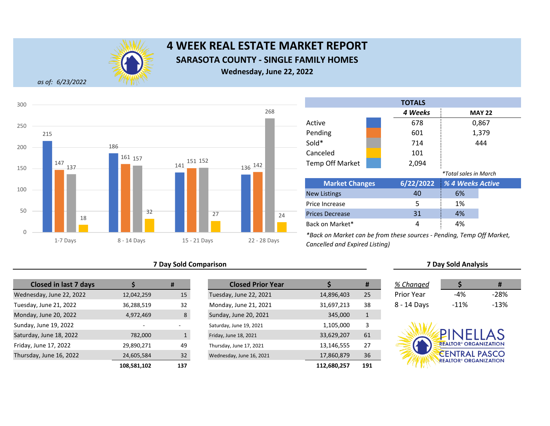

## **4 WEEK REAL ESTATE MARKET REPORT SARASOTA COUNTY - SINGLE FAMILY HOMES Wednesday, June 22, 2022**

*as of: 6/23/2022*



#### **7 Day Sold Comparison 7 Day Sold Analysis**

| <b>Closed in last 7 days</b> |             | #            | <b>Closed Prior Year</b> |             |
|------------------------------|-------------|--------------|--------------------------|-------------|
| Wednesday, June 22, 2022     | 12,042,259  | 15           | Tuesday, June 22, 2021   | 14,896,403  |
| Tuesday, June 21, 2022       | 36,288,519  | 32           | Monday, June 21, 2021    | 31,697,213  |
| Monday, June 20, 2022        | 4,972,469   | 8            | Sunday, June 20, 2021    | 345,000     |
| Sunday, June 19, 2022        |             |              | Saturday, June 19, 2021  | 1,105,000   |
| Saturday, June 18, 2022      | 782,000     | $\mathbf{1}$ | Friday, June 18, 2021    | 33,629,207  |
| Friday, June 17, 2022        | 29,890,271  | 49           | Thursday, June 17, 2021  | 13,146,555  |
| Thursday, June 16, 2022      | 24,605,584  | 32           | Wednesday, June 16, 2021 | 17,860,879  |
|                              | 108.581.102 | 137          |                          | 112,680,257 |

|             | #   | <b>Closed Prior Year</b> |             | #            | % Changed         |                                         | #      |
|-------------|-----|--------------------------|-------------|--------------|-------------------|-----------------------------------------|--------|
| 12,042,259  | 15  | Tuesday, June 22, 2021   | 14,896,403  | 25           | <b>Prior Year</b> | $-4%$                                   | $-28%$ |
| 36,288,519  | 32  | Monday, June 21, 2021    | 31,697,213  | 38           | 8 - 14 Days       | $-11%$                                  | $-13%$ |
| 4,972,469   | 8   | Sunday, June 20, 2021    | 345,000     | $\mathbf{1}$ |                   |                                         |        |
|             |     | Saturday, June 19, 2021  | 1,105,000   | 3            |                   |                                         |        |
| 782,000     |     | Friday, June 18, 2021    | 33,629,207  | 61           |                   | PINELLAS                                |        |
| 29,890,271  | 49  | Thursday, June 17, 2021  | 13,146,555  | 27           |                   | <b>REALTOR® ORGANIZATION</b>            |        |
| 24,605,584  | 32  | Wednesday, June 16, 2021 | 17,860,879  | 36           |                   | <b>CENTRAL PASCO</b>                    |        |
| 108,581,102 | 137 |                          | 112,680,257 | 191          |                   | <b>REALTOR<sup>®</sup> ORGANIZATION</b> |        |

Back on Market\*

|                        |  | <b>TOTALS</b> |                              |               |
|------------------------|--|---------------|------------------------------|---------------|
|                        |  | 4 Weeks       |                              | <b>MAY 22</b> |
| Active                 |  | 678           |                              | 0,867         |
| Pending                |  | 601           |                              | 1,379         |
| Sold*                  |  | 714           |                              | 444           |
| Canceled               |  | 101           |                              |               |
| <b>Temp Off Market</b> |  | 2,094         |                              |               |
|                        |  |               | <i>*Total sales in March</i> |               |
| <b>Market Changes</b>  |  | 6/22/2022     | % 4 Weeks Active             |               |
| <b>New Listings</b>    |  | 40            | 6%                           |               |
| Price Increase         |  | 5             | 1%                           |               |
| <b>Prices Decrease</b> |  | 31            | 4%                           |               |

*\*Back on Market can be from these sources - Pending, Temp Off Market, Cancelled and Expired Listing)*

| % Changed         |        | Ħ      |
|-------------------|--------|--------|
| <b>Prior Year</b> | $-4%$  | -28%   |
| 8 - 14 Days       | $-11%$ | $-13%$ |

4 4%

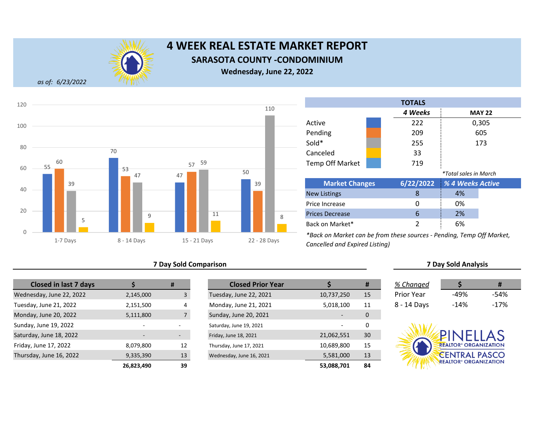

## **4 WEEK REAL ESTATE MARKET REPORT SARASOTA COUNTY -CONDOMINIUM**

**Wednesday, June 22, 2022**

*as of: 6/23/2022*



### **7 Day Sold Comparison 7 Day Sold Analysis**

| <b>Closed in last 7 days</b> |                          | #                        | <b>Closed Prior Year</b> |            |
|------------------------------|--------------------------|--------------------------|--------------------------|------------|
| Wednesday, June 22, 2022     | 2,145,000                | 3                        | Tuesday, June 22, 2021   | 10,737,250 |
| Tuesday, June 21, 2022       | 2,151,500                | 4                        | Monday, June 21, 2021    | 5,018,100  |
| Monday, June 20, 2022        | 5,111,800                | $\overline{7}$           | Sunday, June 20, 2021    |            |
| Sunday, June 19, 2022        | $\overline{a}$           |                          | Saturday, June 19, 2021  |            |
| Saturday, June 18, 2022      | $\overline{\phantom{0}}$ | $\overline{\phantom{0}}$ | Friday, June 18, 2021    | 21,062,551 |
| Friday, June 17, 2022        | 8,079,800                | 12                       | Thursday, June 17, 2021  | 10,689,800 |
| Thursday, June 16, 2022      | 9,335,390                | 13                       | Wednesday, June 16, 2021 | 5,581,000  |
|                              | 26,823,490               | 39                       |                          | 53,088,701 |

|            | #                        | <b>Closed Prior Year</b> |            | #  | % Changed   |                                         | #      |
|------------|--------------------------|--------------------------|------------|----|-------------|-----------------------------------------|--------|
| 2,145,000  |                          | Tuesday, June 22, 2021   | 10,737,250 | 15 | Prior Year  | -49%                                    | $-54%$ |
| 2,151,500  | 4                        | Monday, June 21, 2021    | 5,018,100  | 11 | 8 - 14 Days | $-14%$                                  | $-17%$ |
| 5,111,800  |                          | Sunday, June 20, 2021    |            | 0  |             |                                         |        |
|            |                          | Saturday, June 19, 2021  |            | 0  |             |                                         |        |
|            | $\overline{\phantom{a}}$ | Friday, June 18, 2021    | 21,062,551 | 30 |             | PINFIIAS                                |        |
| 8,079,800  | 12                       | Thursday, June 17, 2021  | 10,689,800 | 15 |             | <b>REALTOR® ORGANIZATION</b>            |        |
| 9,335,390  | 13                       | Wednesday, June 16, 2021 | 5,581,000  | 13 |             | <b>CENTRAL PASCO</b>                    |        |
| 26,823,490 | 39                       |                          | 53,088,701 | 84 |             | <b>REALTOR<sup>®</sup> ORGANIZATION</b> |        |

Prices Decrease Back on Market\*

| <b>TOTALS</b>                |  |           |                  |               |  |
|------------------------------|--|-----------|------------------|---------------|--|
|                              |  | 4 Weeks   |                  | <b>MAY 22</b> |  |
| Active                       |  | 222       |                  | 0,305         |  |
| Pending                      |  | 209       |                  | 605           |  |
| Sold*                        |  | 255       |                  | 173           |  |
| Canceled                     |  | 33        |                  |               |  |
| <b>Temp Off Market</b>       |  | 719       |                  |               |  |
| <i>*Total sales in March</i> |  |           |                  |               |  |
| <b>Market Changes</b>        |  | 6/22/2022 | % 4 Weeks Active |               |  |
| <b>New Listings</b>          |  | 8         | 4%               |               |  |
| Price Increase               |  | O         | 0%               |               |  |

*\*Back on Market can be from these sources - Pending, Temp Off Market, Cancelled and Expired Listing)*

| % Changed   |        | #      |
|-------------|--------|--------|
| Prior Year  | -49%   | -54%   |
| 8 - 14 Days | $-14%$ | $-17%$ |

6 2% 2 6%

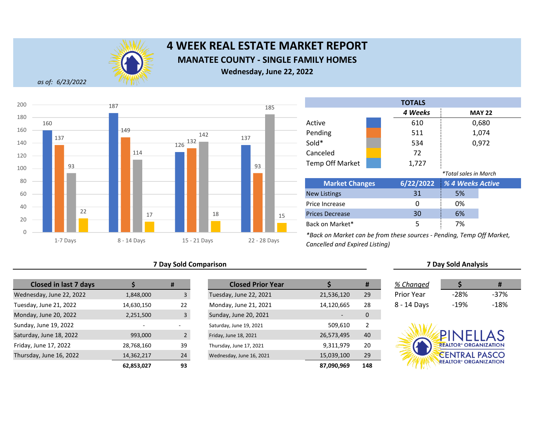

## **4 WEEK REAL ESTATE MARKET REPORT MANATEE COUNTY - SINGLE FAMILY HOMES Wednesday, June 22, 2022**

*as of: 6/23/2022*



### **7 Day Sold Comparison 7 Day Sold Analysis**

| <b>Closed in last 7 days</b> |            | #              | <b>Closed Prior Year</b> |            |
|------------------------------|------------|----------------|--------------------------|------------|
| Wednesday, June 22, 2022     | 1,848,000  | 3              | Tuesday, June 22, 2021   | 21,536,120 |
| Tuesday, June 21, 2022       | 14,630,150 | 22             | Monday, June 21, 2021    | 14,120,665 |
| Monday, June 20, 2022        | 2,251,500  | 3              | Sunday, June 20, 2021    |            |
| Sunday, June 19, 2022        |            |                | Saturday, June 19, 2021  | 509,610    |
| Saturday, June 18, 2022      | 993,000    | $\overline{2}$ | Friday, June 18, 2021    | 26,573,495 |
| Friday, June 17, 2022        | 28,768,160 | 39             | Thursday, June 17, 2021  | 9,311,979  |
| Thursday, June 16, 2022      | 14,362,217 | 24             | Wednesday, June 16, 2021 | 15,039,100 |
|                              | 62,853,027 | 93             |                          | 87,090,969 |

|            | #             | <b>Closed Prior Year</b> |            | #   | % Changed         |                                         | #      |
|------------|---------------|--------------------------|------------|-----|-------------------|-----------------------------------------|--------|
| 1,848,000  |               | Tuesday, June 22, 2021   | 21,536,120 | 29  | <b>Prior Year</b> | $-28%$                                  | $-37%$ |
| 14,630,150 | 22            | Monday, June 21, 2021    | 14,120,665 | 28  | 8 - 14 Days       | $-19%$                                  | $-18%$ |
| 2,251,500  | 3             | Sunday, June 20, 2021    |            | 0   |                   |                                         |        |
|            |               | Saturday, June 19, 2021  | 509,610    | 2   |                   |                                         |        |
| 993,000    | $\mathcal{P}$ | Friday, June 18, 2021    | 26,573,495 | 40  |                   | PINELLAS                                |        |
| 28,768,160 | 39            | Thursday, June 17, 2021  | 9,311,979  | 20  |                   | <b>REALTOR<sup>®</sup> ORGANIZATION</b> |        |
| 14,362,217 | 24            | Wednesday, June 16, 2021 | 15,039,100 | 29  |                   | <b>CENTRAL PASCO</b>                    |        |
| 62,853,027 | 93            |                          | 87,090,969 | 148 |                   | <b>REALTOR<sup>®</sup> ORGANIZATION</b> |        |

|                        |  | <b>TOTALS</b> |                              |               |  |
|------------------------|--|---------------|------------------------------|---------------|--|
|                        |  | 4 Weeks       |                              | <b>MAY 22</b> |  |
| Active                 |  | 610           |                              | 0,680         |  |
| Pending                |  | 511           |                              | 1,074         |  |
| Sold*                  |  | 534           |                              | 0,972         |  |
| Canceled               |  | 72            |                              |               |  |
| <b>Temp Off Market</b> |  | 1,727         |                              |               |  |
|                        |  |               | <i>*Total sales in March</i> |               |  |
| <b>Market Changes</b>  |  | 6/22/2022     | % 4 Weeks Active             |               |  |
| <b>New Listings</b>    |  | 31            | 5%                           |               |  |
| Price Increase         |  | 0             | 0%                           |               |  |
| <b>Prices Decrease</b> |  | 30            | 6%                           |               |  |
| Back on Market*        |  | 5             | 7%                           |               |  |

*\*Back on Market can be from these sources - Pending, Temp Off Market, Cancelled and Expired Listing)*

| % Changed   | S    | #      |
|-------------|------|--------|
| Prior Year  | -28% | $-37%$ |
| 3 - 14 Days | -19% | -18%   |